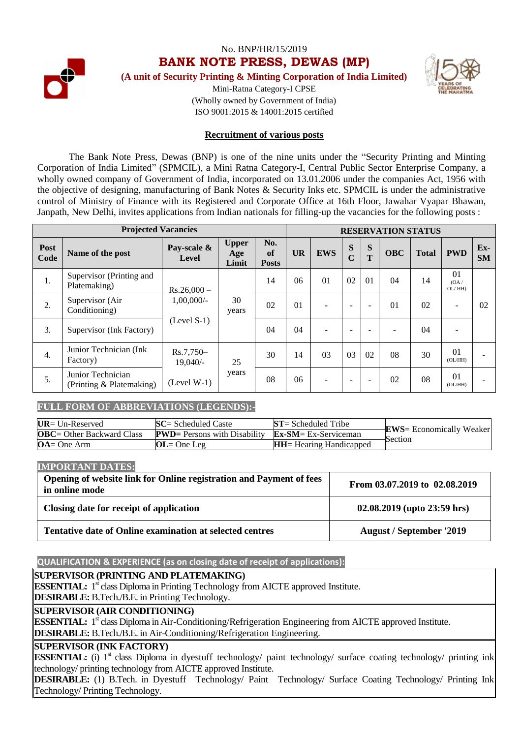

No. BNP/HR/15/2019 **BANK NOTE PRESS, DEWAS (MP)**



**(A unit of Security Printing & Minting Corporation of India Limited)**

Mini-Ratna Category-I CPSE (Wholly owned by Government of India) ISO 9001:2015 & 14001:2015 certified

#### **Recruitment of various posts**

The Bank Note Press, Dewas (BNP) is one of the nine units under the "Security Printing and Minting Corporation of India Limited" (SPMCIL), a Mini Ratna Category-I, Central Public Sector Enterprise Company, a wholly owned company of Government of India, incorporated on 13.01.2006 under the companies Act, 1956 with the objective of designing, manufacturing of Bank Notes & Security Inks etc. SPMCIL is under the administrative control of Ministry of Finance with its Registered and Corporate Office at 16th Floor, Jawahar Vyapar Bhawan, Janpath, New Delhi, invites applications from Indian nationals for filling-up the vacancies for the following posts :

| <b>Projected Vacancies</b> |                                               |                              |                              | <b>RESERVATION STATUS</b> |                |                          |                          |                          |            |              |                          |                    |
|----------------------------|-----------------------------------------------|------------------------------|------------------------------|---------------------------|----------------|--------------------------|--------------------------|--------------------------|------------|--------------|--------------------------|--------------------|
| Post<br>Code               | Name of the post                              | Pay-scale &<br><b>Level</b>  | <b>Upper</b><br>Age<br>Limit | No.<br>of<br><b>Posts</b> | <b>UR</b>      | <b>EWS</b>               | S<br>$\overline{C}$      | S<br>T                   | <b>OBC</b> | <b>Total</b> | <b>PWD</b>               | $Ex-$<br><b>SM</b> |
| 1.                         | Supervisor (Printing and<br>Platemaking)      | $Rs.26,000-$<br>$1.00.000/-$ |                              | 14                        | 06             | 01                       | 02                       | 0 <sub>1</sub>           | 04         | 14           | 01<br>(OA /<br>OL/HH     |                    |
| 2.                         | Supervisor (Air<br>Conditioning)              |                              | 30<br>years                  | 02                        | 0 <sub>1</sub> | $\overline{\phantom{a}}$ | $\overline{a}$           | $\overline{\phantom{a}}$ | 01         | 02           | $\overline{\phantom{a}}$ | 02                 |
| 3.                         | Supervisor (Ink Factory)                      | $(Level S-1)$                |                              | 04                        | 04             | $\equiv$                 | $\overline{\phantom{a}}$ | $\overline{\phantom{a}}$ | $\sim$     | 04           | $\overline{\phantom{a}}$ |                    |
| 4.                         | Junior Technician (Ink<br>Factory)            | $Rs.7,750-$<br>$19.040/-$    | 25                           | 30                        | 14             | 03                       | 0 <sub>3</sub>           | 02                       | 08         | 30           | 01<br>(OL/HH)            |                    |
| 5.                         | Junior Technician<br>(Printing & Platemaking) | $(Level W-1)$                | years                        | 08                        | 06             | ۰                        | $\overline{\phantom{a}}$ | $\overline{\phantom{a}}$ | 02         | 08           | 01<br>(OL/HH)            |                    |

## **FULL FORM OF ABBREVIATIONS (LEGENDS):-**

| $UR = Un-Reserved$                           | <b>SC</b> = Scheduled Caste                                                   | $ST = S$ cheduled Tribe         |                                       |
|----------------------------------------------|-------------------------------------------------------------------------------|---------------------------------|---------------------------------------|
| $\overline{\text{OBC}}$ Other Backward Class | <b>PWD</b> = Persons with Disability $\mathbb{E}$ <b>x</b> -SM= Ex-Serviceman |                                 | -EWS= Economically Weaker<br>-Section |
| $OA = One$ Arm                               | $OL = One Leg$                                                                | <b>HH</b> = Hearing Handicapped |                                       |

#### **IMPORTANT DATES:**

| Opening of website link for Online registration and Payment of fees<br>in online mode | From 03.07.2019 to 02.08.2019   |
|---------------------------------------------------------------------------------------|---------------------------------|
| Closing date for receipt of application                                               | $02.08.2019$ (upto 23:59 hrs)   |
| <b>Tentative date of Online examination at selected centres</b>                       | <b>August / September '2019</b> |

**QUALIFICATION & EXPERIENCE (as on closing date of receipt of applications):**

## **SUPERVISOR (PRINTING AND PLATEMAKING)**

**ESSENTIAL:** 1<sup>st</sup> class Diploma in Printing Technology from AICTE approved Institute.

**DESIRABLE:** B.Tech./B.E. in Printing Technology.

#### **SUPERVISOR (AIR CONDITIONING)**

**ESSENTIAL:** 1<sup>st</sup> class Diploma in Air-Conditioning/Refrigeration Engineering from AICTE approved Institute. **DESIRABLE:** B.Tech./B.E. in Air-Conditioning/Refrigeration Engineering.

## **SUPERVISOR (INK FACTORY)**

**ESSENTIAL:** (i)  $1^s$  class Diploma in dyestuff technology/ paint technology/ surface coating technology/ printing ink technology/ printing technology from AICTE approved Institute.

**DESIRABLE:** (1) B.Tech. in Dyestuff Technology/ Paint Technology/ Surface Coating Technology/ Printing Ink Technology/ Printing Technology.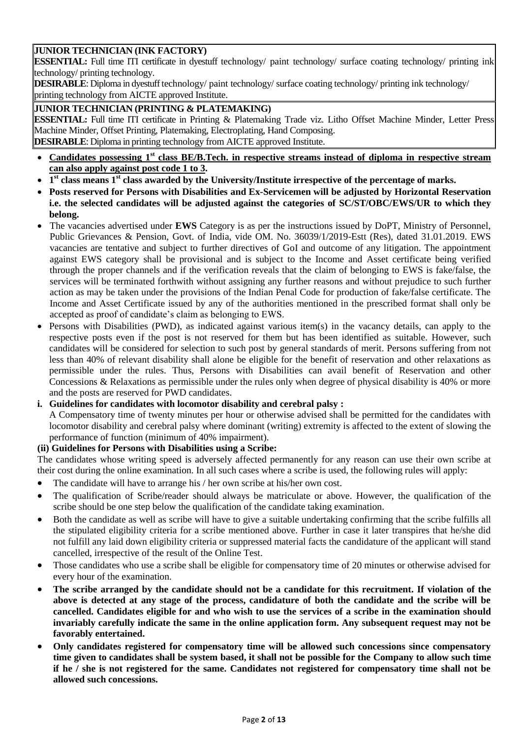## **JUNIOR TECHNICIAN (INK FACTORY)**

**ESSENTIAL:** Full time ITI certificate in dyestuff technology/ paint technology/ surface coating technology/ printing ink technology/ printing technology.

**DESIRABLE**: Diploma in dyestuff technology/ paint technology/ surface coating technology/ printing ink technology/ printing technology from AICTE approved Institute.

## **JUNIOR TECHNICIAN (PRINTING & PLATEMAKING)**

**ESSENTIAL:** Full time ITI certificate in Printing & Platemaking Trade viz. Litho Offset Machine Minder, Letter Press Machine Minder, Offset Printing, Platemaking, Electroplating, Hand Composing. **DESIRABLE:** Diploma in printing technology from AICTE approved Institute.

- **Candidates possessing 1 st class BE/B.Tech. in respective streams instead of diploma in respective stream can also apply against post code 1 to 3.**
- **1 st class means 1st class awarded by the University/Institute irrespective of the percentage of marks.**
- **Posts reserved for Persons with Disabilities and Ex-Servicemen will be adjusted by Horizontal Reservation i.e. the selected candidates will be adjusted against the categories of SC/ST/OBC/EWS/UR to which they belong.**
- The vacancies advertised under **EWS** Category is as per the instructions issued by DoPT, Ministry of Personnel, Public Grievances & Pension, Govt. of India, vide OM. No. 36039/1/2019-Estt (Res), dated 31.01.2019. EWS vacancies are tentative and subject to further directives of GoI and outcome of any litigation. The appointment against EWS category shall be provisional and is subject to the Income and Asset certificate being verified through the proper channels and if the verification reveals that the claim of belonging to EWS is fake/false, the services will be terminated forthwith without assigning any further reasons and without prejudice to such further action as may be taken under the provisions of the Indian Penal Code for production of fake/false certificate. The Income and Asset Certificate issued by any of the authorities mentioned in the prescribed format shall only be accepted as proof of candidate"s claim as belonging to EWS.
- Persons with Disabilities (PWD), as indicated against various item(s) in the vacancy details, can apply to the respective posts even if the post is not reserved for them but has been identified as suitable. However, such candidates will be considered for selection to such post by general standards of merit. Persons suffering from not less than 40% of relevant disability shall alone be eligible for the benefit of reservation and other relaxations as permissible under the rules. Thus, Persons with Disabilities can avail benefit of Reservation and other Concessions & Relaxations as permissible under the rules only when degree of physical disability is 40% or more and the posts are reserved for PWD candidates.

#### **i. Guidelines for candidates with locomotor disability and cerebral palsy :**

A Compensatory time of twenty minutes per hour or otherwise advised shall be permitted for the candidates with locomotor disability and cerebral palsy where dominant (writing) extremity is affected to the extent of slowing the performance of function (minimum of 40% impairment).

### **(ii) Guidelines for Persons with Disabilities using a Scribe:**

The candidates whose writing speed is adversely affected permanently for any reason can use their own scribe at their cost during the online examination. In all such cases where a scribe is used, the following rules will apply:

- The candidate will have to arrange his / her own scribe at his/her own cost.
- The qualification of Scribe/reader should always be matriculate or above. However, the qualification of the scribe should be one step below the qualification of the candidate taking examination.
- Both the candidate as well as scribe will have to give a suitable undertaking confirming that the scribe fulfills all the stipulated eligibility criteria for a scribe mentioned above. Further in case it later transpires that he/she did not fulfill any laid down eligibility criteria or suppressed material facts the candidature of the applicant will stand cancelled, irrespective of the result of the Online Test.
- Those candidates who use a scribe shall be eligible for compensatory time of 20 minutes or otherwise advised for every hour of the examination.
- **The scribe arranged by the candidate should not be a candidate for this recruitment. If violation of the above is detected at any stage of the process, candidature of both the candidate and the scribe will be cancelled. Candidates eligible for and who wish to use the services of a scribe in the examination should invariably carefully indicate the same in the online application form. Any subsequent request may not be favorably entertained.**
- **Only candidates registered for compensatory time will be allowed such concessions since compensatory time given to candidates shall be system based, it shall not be possible for the Company to allow such time if he / she is not registered for the same. Candidates not registered for compensatory time shall not be allowed such concessions.**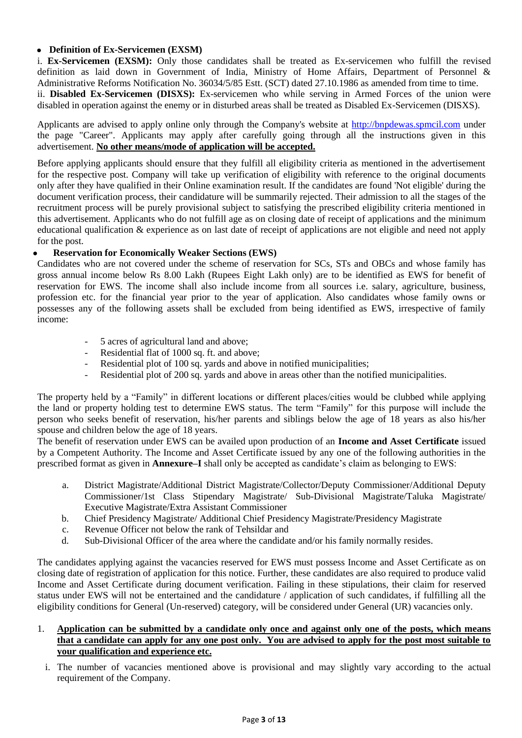## **Definition of Ex-Servicemen (EXSM)**

i. **Ex-Servicemen (EXSM):** Only those candidates shall be treated as Ex-servicemen who fulfill the revised definition as laid down in Government of India, Ministry of Home Affairs, Department of Personnel & Administrative Reforms Notification No. 36034/5/85 Estt. (SCT) dated 27.10.1986 as amended from time to time. ii. **Disabled Ex-Servicemen (DISXS):** Ex-servicemen who while serving in Armed Forces of the union were disabled in operation against the enemy or in disturbed areas shall be treated as Disabled Ex-Servicemen (DISXS).

Applicants are advised to apply online only through the Company's website at [http://bnpdewas.spmcil.com](http://bnpdewas.spmcil.com/) under the page "Career". Applicants may apply after carefully going through all the instructions given in this advertisement. **No other means/mode of application will be accepted.**

Before applying applicants should ensure that they fulfill all eligibility criteria as mentioned in the advertisement for the respective post. Company will take up verification of eligibility with reference to the original documents only after they have qualified in their Online examination result. If the candidates are found 'Not eligible' during the document verification process, their candidature will be summarily rejected. Their admission to all the stages of the recruitment process will be purely provisional subject to satisfying the prescribed eligibility criteria mentioned in this advertisement. Applicants who do not fulfill age as on closing date of receipt of applications and the minimum educational qualification & experience as on last date of receipt of applications are not eligible and need not apply for the post.

### **Reservation for Economically Weaker Sections (EWS)**

Candidates who are not covered under the scheme of reservation for SCs, STs and OBCs and whose family has gross annual income below Rs 8.00 Lakh (Rupees Eight Lakh only) are to be identified as EWS for benefit of reservation for EWS. The income shall also include income from all sources i.e. salary, agriculture, business, profession etc. for the financial year prior to the year of application. Also candidates whose family owns or possesses any of the following assets shall be excluded from being identified as EWS, irrespective of family income:

- 5 acres of agricultural land and above;
- Residential flat of 1000 sq. ft. and above;
- Residential plot of 100 sq. yards and above in notified municipalities;
- Residential plot of 200 sq. yards and above in areas other than the notified municipalities.

The property held by a "Family" in different locations or different places/cities would be clubbed while applying the land or property holding test to determine EWS status. The term "Family" for this purpose will include the person who seeks benefit of reservation, his/her parents and siblings below the age of 18 years as also his/her spouse and children below the age of 18 years.

The benefit of reservation under EWS can be availed upon production of an **Income and Asset Certificate** issued by a Competent Authority. The Income and Asset Certificate issued by any one of the following authorities in the prescribed format as given in **Annexure–I** shall only be accepted as candidate"s claim as belonging to EWS:

- a. District Magistrate/Additional District Magistrate/Collector/Deputy Commissioner/Additional Deputy Commissioner/1st Class Stipendary Magistrate/ Sub-Divisional Magistrate/Taluka Magistrate/ Executive Magistrate/Extra Assistant Commissioner
- b. Chief Presidency Magistrate/ Additional Chief Presidency Magistrate/Presidency Magistrate
- c. Revenue Officer not below the rank of Tehsildar and
- d. Sub-Divisional Officer of the area where the candidate and/or his family normally resides.

The candidates applying against the vacancies reserved for EWS must possess Income and Asset Certificate as on closing date of registration of application for this notice. Further, these candidates are also required to produce valid Income and Asset Certificate during document verification. Failing in these stipulations, their claim for reserved status under EWS will not be entertained and the candidature / application of such candidates, if fulfilling all the eligibility conditions for General (Un-reserved) category, will be considered under General (UR) vacancies only.

### 1. **Application can be submitted by a candidate only once and against only one of the posts, which means that a candidate can apply for any one post only. You are advised to apply for the post most suitable to your qualification and experience etc.**

i. The number of vacancies mentioned above is provisional and may slightly vary according to the actual requirement of the Company.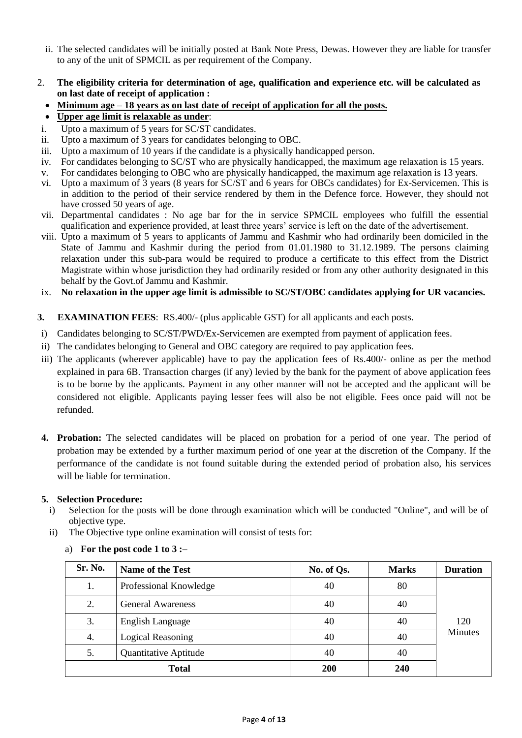- ii. The selected candidates will be initially posted at Bank Note Press, Dewas. However they are liable for transfer to any of the unit of SPMCIL as per requirement of the Company.
- 2. **The eligibility criteria for determination of age, qualification and experience etc. will be calculated as on last date of receipt of application :**
	- **Minimum age – 18 years as on last date of receipt of application for all the posts.**
	- **Upper age limit is relaxable as under**:
- i. Upto a maximum of 5 years for SC/ST candidates.
- ii. Upto a maximum of 3 years for candidates belonging to OBC.
- iii. Upto a maximum of 10 years if the candidate is a physically handicapped person.
- iv. For candidates belonging to SC/ST who are physically handicapped, the maximum age relaxation is 15 years.
- v. For candidates belonging to OBC who are physically handicapped, the maximum age relaxation is 13 years.
- vi. Upto a maximum of 3 years (8 years for SC/ST and 6 years for OBCs candidates) for Ex-Servicemen. This is in addition to the period of their service rendered by them in the Defence force. However, they should not have crossed 50 years of age.
- vii. Departmental candidates : No age bar for the in service SPMCIL employees who fulfill the essential qualification and experience provided, at least three years" service is left on the date of the advertisement.
- viii. Upto a maximum of 5 years to applicants of Jammu and Kashmir who had ordinarily been domiciled in the State of Jammu and Kashmir during the period from 01.01.1980 to 31.12.1989. The persons claiming relaxation under this sub-para would be required to produce a certificate to this effect from the District Magistrate within whose jurisdiction they had ordinarily resided or from any other authority designated in this behalf by the Govt.of Jammu and Kashmir.
- ix. **No relaxation in the upper age limit is admissible to SC/ST/OBC candidates applying for UR vacancies.**
- **3. EXAMINATION FEES**:RS.400/- (plus applicable GST) for all applicants and each posts.
- i) Candidates belonging to SC/ST/PWD/Ex-Servicemen are exempted from payment of application fees.
- ii) The candidates belonging to General and OBC category are required to pay application fees.
- iii) The applicants (wherever applicable) have to pay the application fees of Rs.400/- online as per the method explained in para 6B. Transaction charges (if any) levied by the bank for the payment of above application fees is to be borne by the applicants. Payment in any other manner will not be accepted and the applicant will be considered not eligible. Applicants paying lesser fees will also be not eligible. Fees once paid will not be refunded.
- **4. Probation:** The selected candidates will be placed on probation for a period of one year. The period of probation may be extended by a further maximum period of one year at the discretion of the Company. If the performance of the candidate is not found suitable during the extended period of probation also, his services will be liable for termination.

#### **5. Selection Procedure:**

- i) Selection for the posts will be done through examination which will be conducted "Online", and will be of objective type.
- ii) The Objective type online examination will consist of tests for:

| Sr. No.      | <b>Name of the Test</b>      | No. of Qs. | <b>Marks</b> | <b>Duration</b> |  |
|--------------|------------------------------|------------|--------------|-----------------|--|
| 1.           | Professional Knowledge       | 40         | 80           |                 |  |
| 2.           | <b>General Awareness</b>     | 40         | 40           |                 |  |
| 3.           | <b>English Language</b>      | 40         | 40           | 120             |  |
| 4.           | <b>Logical Reasoning</b>     | 40         | 40           | Minutes         |  |
| 5.           | <b>Quantitative Aptitude</b> | 40         | 40           |                 |  |
| <b>Total</b> |                              | 200        | <b>240</b>   |                 |  |

a) **For the post code 1 to 3 :–**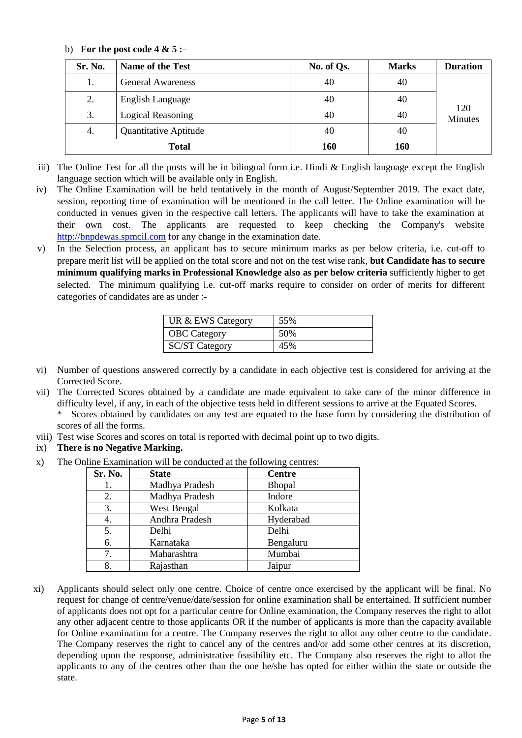#### b) **For the post code 4 & 5 :–**

| Sr. No.                            | <b>Name of the Test</b>  | No. of Qs. | <b>Marks</b> | <b>Duration</b> |
|------------------------------------|--------------------------|------------|--------------|-----------------|
| 1.                                 | <b>General Awareness</b> | 40         | 40           |                 |
| 2.                                 | English Language         | 40         | 40           |                 |
| 3.                                 | <b>Logical Reasoning</b> | 40         | 40           | 120<br>Minutes  |
| <b>Quantitative Aptitude</b><br>4. |                          | 40         | 40           |                 |
|                                    | Total                    | 160        | 160          |                 |

- iii) The Online Test for all the posts will be in bilingual form i.e. Hindi & English language except the English language section which will be available only in English.
- iv) The Online Examination will be held tentatively in the month of August/September 2019. The exact date, session, reporting time of examination will be mentioned in the call letter. The Online examination will be conducted in venues given in the respective call letters. The applicants will have to take the examination at their own cost. The applicants are requested to keep checking the Company's website [http://bnpdewas.spmcil.com](http://bnpdewas.spmcil.com/) for any change in the examination date.
- v) In the Selection process, an applicant has to secure minimum marks as per below criteria, i.e. cut-off to prepare merit list will be applied on the total score and not on the test wise rank, **but Candidate has to secure minimum qualifying marks in Professional Knowledge also as per below criteria** sufficiently higher to get selected. The minimum qualifying i.e. cut-off marks require to consider on order of merits for different categories of candidates are as under :-

| UR & EWS Category     | 55% |
|-----------------------|-----|
| <b>OBC</b> Category   | 50% |
| <b>SC/ST Category</b> | 45% |

- vi) Number of questions answered correctly by a candidate in each objective test is considered for arriving at the Corrected Score.
- vii) The Corrected Scores obtained by a candidate are made equivalent to take care of the minor difference in difficulty level, if any, in each of the objective tests held in different sessions to arrive at the Equated Scores. \* Scores obtained by candidates on any test are equated to the base form by considering the distribution of scores of all the forms.
- viii) Test wise Scores and scores on total is reported with decimal point up to two digits.
- ix) **There is no Negative Marking.**
- x) The Online Examination will be conducted at the following centres:

| Sr. No. | <b>State</b>   | <b>Centre</b> |
|---------|----------------|---------------|
| 1.      | Madhya Pradesh | <b>Bhopal</b> |
| 2.      | Madhya Pradesh | Indore        |
| 3.      | West Bengal    | Kolkata       |
| 4.      | Andhra Pradesh | Hyderabad     |
| 5.      | Delhi          | Delhi         |
| 6.      | Karnataka      | Bengaluru     |
| 7.      | Maharashtra    | Mumbai        |
| 8.      | Rajasthan      | Jaipur        |

xi) Applicants should select only one centre. Choice of centre once exercised by the applicant will be final. No request for change of centre/venue/date/session for online examination shall be entertained. If sufficient number of applicants does not opt for a particular centre for Online examination, the Company reserves the right to allot any other adjacent centre to those applicants OR if the number of applicants is more than the capacity available for Online examination for a centre. The Company reserves the right to allot any other centre to the candidate. The Company reserves the right to cancel any of the centres and/or add some other centres at its discretion, depending upon the response, administrative feasibility etc. The Company also reserves the right to allot the applicants to any of the centres other than the one he/she has opted for either within the state or outside the state.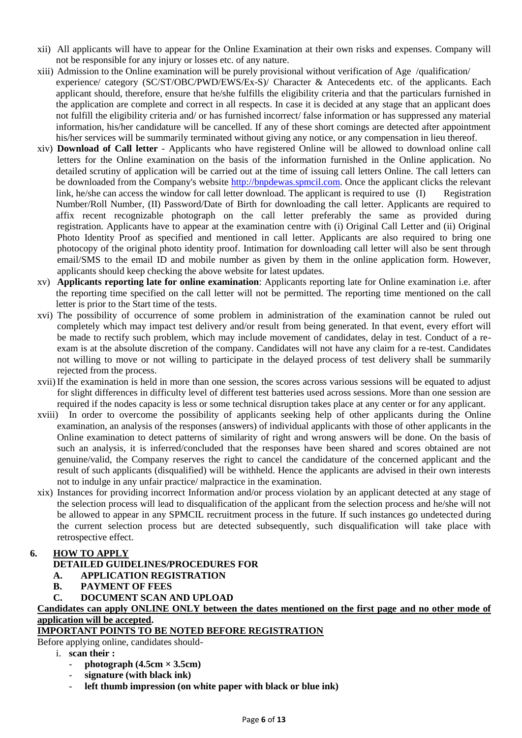- xii) All applicants will have to appear for the Online Examination at their own risks and expenses. Company will not be responsible for any injury or losses etc. of any nature.
- xiii) Admission to the Online examination will be purely provisional without verification of Age /qualification/ experience/ category (SC/ST/OBC/PWD/EWS/Ex-S)/ Character & Antecedents etc. of the applicants. Each applicant should, therefore, ensure that he/she fulfills the eligibility criteria and that the particulars furnished in the application are complete and correct in all respects. In case it is decided at any stage that an applicant does not fulfill the eligibility criteria and/ or has furnished incorrect/ false information or has suppressed any material information, his/her candidature will be cancelled. If any of these short comings are detected after appointment his/her services will be summarily terminated without giving any notice, or any compensation in lieu thereof.
- xiv) **Download of Call letter**  Applicants who have registered Online will be allowed to download online call letters for the Online examination on the basis of the information furnished in the Online application. No detailed scrutiny of application will be carried out at the time of issuing call letters Online. The call letters can be downloaded from the Company's website [http://bnpdewas.spmcil.com.](http://bnpdewas.spmcil.com/) Once the applicant clicks the relevant link, he/she can access the window for call letter download. The applicant is required to use (I) Registration Number/Roll Number, (II) Password/Date of Birth for downloading the call letter. Applicants are required to affix recent recognizable photograph on the call letter preferably the same as provided during registration. Applicants have to appear at the examination centre with (i) Original Call Letter and (ii) Original Photo Identity Proof as specified and mentioned in call letter. Applicants are also required to bring one photocopy of the original photo identity proof. Intimation for downloading call letter will also be sent through email/SMS to the email ID and mobile number as given by them in the online application form. However, applicants should keep checking the above website for latest updates.
- xv) **Applicants reporting late for online examination**: Applicants reporting late for Online examination i.e. after the reporting time specified on the call letter will not be permitted. The reporting time mentioned on the call letter is prior to the Start time of the tests.
- xvi) The possibility of occurrence of some problem in administration of the examination cannot be ruled out completely which may impact test delivery and/or result from being generated. In that event*,* every effort will be made to rectify such problem, which may include movement of candidates, delay in test. Conduct of a reexam is at the absolute discretion of the company. Candidates will not have any claim for a re-test. Candidates not willing to move or not willing to participate in the delayed process of test delivery shall be summarily rejected from the process.
- xvii)If the examination is held in more than one session, the scores across various sessions will be equated to adjust for slight differences in difficulty level of different test batteries used across sessions. More than one session are required if the nodes capacity is less or some technical disruption takes place at any center or for any applicant.
- xviii) In order to overcome the possibility of applicants seeking help of other applicants during the Online examination, an analysis of the responses (answers) of individual applicants with those of other applicants in the Online examination to detect patterns of similarity of right and wrong answers will be done. On the basis of such an analysis, it is inferred/concluded that the responses have been shared and scores obtained are not genuine/valid, the Company reserves the right to cancel the candidature of the concerned applicant and the result of such applicants (disqualified) will be withheld. Hence the applicants are advised in their own interests not to indulge in any unfair practice/ malpractice in the examination.
- xix) Instances for providing incorrect Information and/or process violation by an applicant detected at any stage of the selection process will lead to disqualification of the applicant from the selection process and he/she will not be allowed to appear in any SPMCIL recruitment process in the future. If such instances go undetected during the current selection process but are detected subsequently, such disqualification will take place with retrospective effect.

## **6. HOW TO APPLY**

## **DETAILED GUIDELINES/PROCEDURES FOR**

- **A. APPLICATION REGISTRATION**
- **B. PAYMENT OF FEES**
- **C. DOCUMENT SCAN AND UPLOAD**

## **Candidates can apply ONLINE ONLY between the dates mentioned on the first page and no other mode of application will be accepted.**

## **IMPORTANT POINTS TO BE NOTED BEFORE REGISTRATION**

#### Before applying online, candidates should-

- i. **scan their :** 
	- $photograph$  (4.5cm  $\times$  3.5cm)
	- signature (with black ink)
	- **left thumb impression (on white paper with black or blue ink)**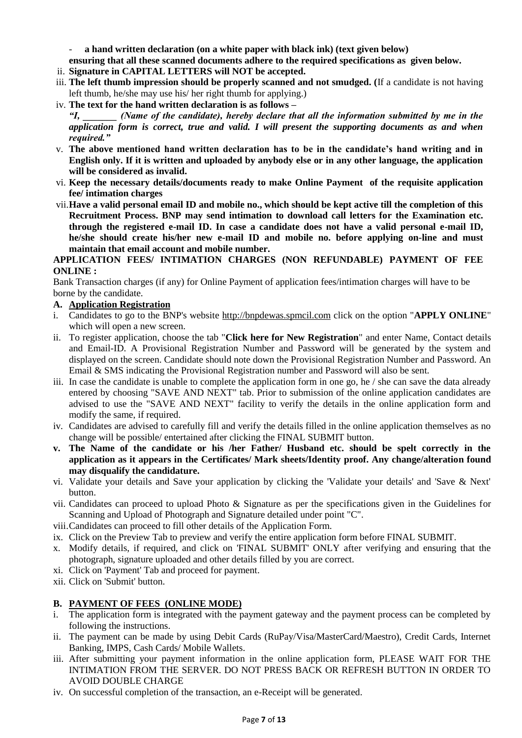- **a hand written declaration (on a white paper with black ink) (text given below)**

- **ensuring that all these scanned documents adhere to the required specifications as given below.**
- ii. **Signature in CAPITAL LETTERS will NOT be accepted.**
- iii. **The left thumb impression should be properly scanned and not smudged. (**If a candidate is not having left thumb, he/she may use his/ her right thumb for applying.)
- iv. **The text for the hand written declaration is as follows –**

*"I, \_\_\_\_\_\_\_ (Name of the candidate), hereby declare that all the information submitted by me in the application form is correct, true and valid. I will present the supporting documents as and when required."* 

- v. **The above mentioned hand written declaration has to be in the candidate's hand writing and in English only. If it is written and uploaded by anybody else or in any other language, the application will be considered as invalid.**
- vi. **Keep the necessary details/documents ready to make Online Payment of the requisite application fee/ intimation charges**
- vii.**Have a valid personal email ID and mobile no., which should be kept active till the completion of this Recruitment Process. BNP may send intimation to download call letters for the Examination etc. through the registered e-mail ID. In case a candidate does not have a valid personal e-mail ID, he/she should create his/her new e-mail ID and mobile no. before applying on-line and must maintain that email account and mobile number.**

#### **APPLICATION FEES/ INTIMATION CHARGES (NON REFUNDABLE) PAYMENT OF FEE ONLINE :**

Bank Transaction charges (if any) for Online Payment of application fees/intimation charges will have to be borne by the candidate.

## **A. Application Registration**

- i. Candidates to go to the BNP's website [http://bnpdewas.spmcil.com](http://bnpdewas.spmcil.com/) click on the option "**APPLY ONLINE**" which will open a new screen.
- ii. To register application, choose the tab "**Click here for New Registration**" and enter Name, Contact details and Email-ID. A Provisional Registration Number and Password will be generated by the system and displayed on the screen. Candidate should note down the Provisional Registration Number and Password. An Email & SMS indicating the Provisional Registration number and Password will also be sent.
- iii. In case the candidate is unable to complete the application form in one go, he / she can save the data already entered by choosing "SAVE AND NEXT" tab. Prior to submission of the online application candidates are advised to use the "SAVE AND NEXT" facility to verify the details in the online application form and modify the same, if required.
- iv. Candidates are advised to carefully fill and verify the details filled in the online application themselves as no change will be possible/ entertained after clicking the FINAL SUBMIT button.
- **v. The Name of the candidate or his /her Father/ Husband etc. should be spelt correctly in the application as it appears in the Certificates/ Mark sheets/Identity proof. Any change/alteration found may disqualify the candidature.**
- vi. Validate your details and Save your application by clicking the 'Validate your details' and 'Save & Next' button.
- vii. Candidates can proceed to upload Photo & Signature as per the specifications given in the Guidelines for Scanning and Upload of Photograph and Signature detailed under point "C".
- viii.Candidates can proceed to fill other details of the Application Form.
- ix. Click on the Preview Tab to preview and verify the entire application form before FINAL SUBMIT.
- x. Modify details, if required, and click on 'FINAL SUBMIT' ONLY after verifying and ensuring that the photograph, signature uploaded and other details filled by you are correct.
- xi. Click on 'Payment' Tab and proceed for payment.
- xii. Click on 'Submit' button.

## **B. PAYMENT OF FEES (ONLINE MODE)**

- i. The application form is integrated with the payment gateway and the payment process can be completed by following the instructions.
- ii. The payment can be made by using Debit Cards (RuPay/Visa/MasterCard/Maestro), Credit Cards, Internet Banking, IMPS, Cash Cards/ Mobile Wallets.
- iii. After submitting your payment information in the online application form, PLEASE WAIT FOR THE INTIMATION FROM THE SERVER. DO NOT PRESS BACK OR REFRESH BUTTON IN ORDER TO AVOID DOUBLE CHARGE
- iv. On successful completion of the transaction, an e-Receipt will be generated.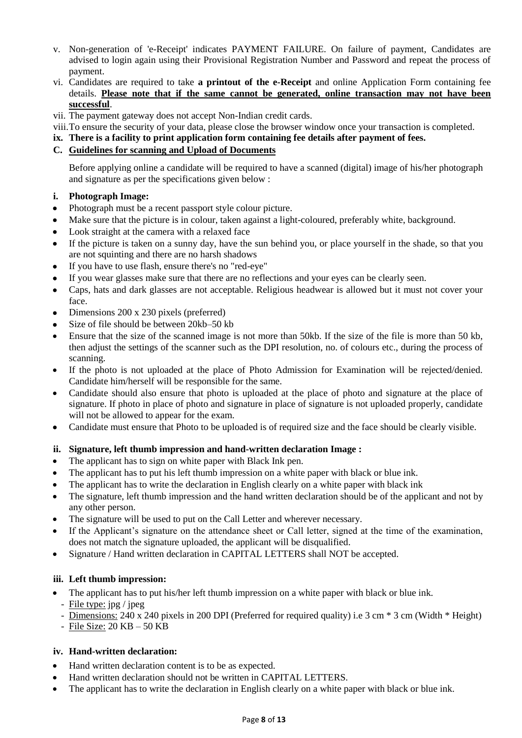- v. Non-generation of 'e-Receipt' indicates PAYMENT FAILURE. On failure of payment, Candidates are advised to login again using their Provisional Registration Number and Password and repeat the process of payment.
- vi. Candidates are required to take **a printout of the e-Receipt** and online Application Form containing fee details. **Please note that if the same cannot be generated, online transaction may not have been successful**.
- vii. The payment gateway does not accept Non-Indian credit cards.
- viii.To ensure the security of your data, please close the browser window once your transaction is completed.
- **ix. There is a facility to print application form containing fee details after payment of fees.**

## **C. Guidelines for scanning and Upload of Documents**

Before applying online a candidate will be required to have a scanned (digital) image of his/her photograph and signature as per the specifications given below :

## **i. Photograph Image:**

- Photograph must be a recent passport style colour picture.
- Make sure that the picture is in colour, taken against a light-coloured, preferably white, background.
- Look straight at the camera with a relaxed face
- If the picture is taken on a sunny day, have the sun behind you, or place yourself in the shade, so that you are not squinting and there are no harsh shadows
- If you have to use flash, ensure there's no "red-eye"
- If you wear glasses make sure that there are no reflections and your eyes can be clearly seen.
- Caps, hats and dark glasses are not acceptable. Religious headwear is allowed but it must not cover your face.
- Dimensions 200 x 230 pixels (preferred)
- Size of file should be between 20kb–50 kb
- Ensure that the size of the scanned image is not more than 50kb. If the size of the file is more than 50 kb, then adjust the settings of the scanner such as the DPI resolution, no. of colours etc., during the process of scanning.
- If the photo is not uploaded at the place of Photo Admission for Examination will be rejected/denied. Candidate him/herself will be responsible for the same.
- Candidate should also ensure that photo is uploaded at the place of photo and signature at the place of signature. If photo in place of photo and signature in place of signature is not uploaded properly, candidate will not be allowed to appear for the exam.
- Candidate must ensure that Photo to be uploaded is of required size and the face should be clearly visible.

## **ii. Signature, left thumb impression and hand-written declaration Image :**

- The applicant has to sign on white paper with Black Ink pen.
- The applicant has to put his left thumb impression on a white paper with black or blue ink.
- The applicant has to write the declaration in English clearly on a white paper with black ink
- The signature, left thumb impression and the hand written declaration should be of the applicant and not by any other person.
- The signature will be used to put on the Call Letter and wherever necessary.
- If the Applicant"s signature on the attendance sheet or Call letter, signed at the time of the examination, does not match the signature uploaded, the applicant will be disqualified.
- Signature / Hand written declaration in CAPITAL LETTERS shall NOT be accepted.

# **iii. Left thumb impression:**

- The applicant has to put his/her left thumb impression on a white paper with black or blue ink.
	- File type: jpg / jpeg
	- Dimensions: 240 x 240 pixels in 200 DPI (Preferred for required quality) i.e 3 cm \* 3 cm (Width \* Height)
	- File Size: 20 KB 50 KB

# **iv. Hand-written declaration:**

- Hand written declaration content is to be as expected.
- Hand written declaration should not be written in CAPITAL LETTERS.
- The applicant has to write the declaration in English clearly on a white paper with black or blue ink.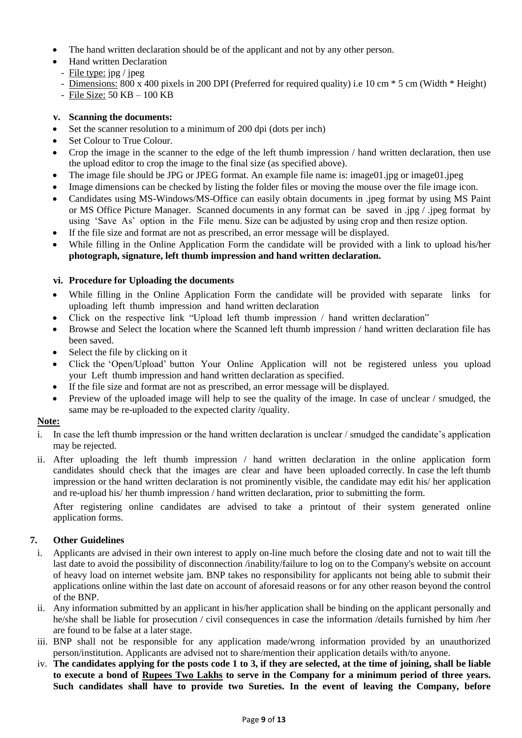- The hand written declaration should be of the applicant and not by any other person.
- Hand written Declaration
	- File type: jpg / jpeg
	- Dimensions: 800 x 400 pixels in 200 DPI (Preferred for required quality) i.e 10 cm \* 5 cm (Width \* Height)
	- File Size: 50 KB 100 KB

## **v. Scanning the documents:**

- Set the scanner resolution to a minimum of 200 dpi (dots per inch)
- Set Colour to True Colour.
- Crop the image in the scanner to the edge of the left thumb impression / hand written declaration, then use the upload editor to crop the image to the final size (as specified above).
- The image file should be JPG or JPEG format. An example file name is: image01.jpg or image01.jpeg
- Image dimensions can be checked by listing the folder files or moving the mouse over the file image icon.
- Candidates using MS-Windows/MS-Office can easily obtain documents in .jpeg format by using MS Paint or MS Office Picture Manager. Scanned documents in any format can be saved in .jpg / .jpeg format by using "Save As" option in the File menu. Size can be adjusted by using crop and then resize option.
- If the file size and format are not as prescribed, an error message will be displayed.
- While filling in the Online Application Form the candidate will be provided with a link to upload his/her **photograph, signature, left thumb impression and hand written declaration.**

## **vi. Procedure for Uploading the documents**

- While filling in the Online Application Form the candidate will be provided with separate links for uploading left thumb impression and hand written declaration
- Click on the respective link "Upload left thumb impression / hand written declaration"
- Browse and Select the location where the Scanned left thumb impression / hand written declaration file has been saved.
- Select the file by clicking on it
- Click the "Open/Upload" button Your Online Application will not be registered unless you upload your Left thumb impression and hand written declaration as specified.
- If the file size and format are not as prescribed, an error message will be displayed.
- Preview of the uploaded image will help to see the quality of the image. In case of unclear / smudged, the same may be re-uploaded to the expected clarity /quality.

## **Note:**

- i. In case the left thumb impression or the hand written declaration is unclear / smudged the candidate"s application may be rejected.
- ii. After uploading the left thumb impression / hand written declaration in the online application form candidates should check that the images are clear and have been uploaded correctly. In case the left thumb impression or the hand written declaration is not prominently visible, the candidate may edit his/ her application and re-upload his/ her thumb impression / hand written declaration, prior to submitting the form.

After registering online candidates are advised to take a printout of their system generated online application forms.

## **7. Other Guidelines**

- i. Applicants are advised in their own interest to apply on-line much before the closing date and not to wait till the last date to avoid the possibility of disconnection /inability/failure to log on to the Company's website on account of heavy load on internet website jam. BNP takes no responsibility for applicants not being able to submit their applications online within the last date on account of aforesaid reasons or for any other reason beyond the control of the BNP.
- ii. Any information submitted by an applicant in his/her application shall be binding on the applicant personally and he/she shall be liable for prosecution / civil consequences in case the information /details furnished by him /her are found to be false at a later stage.
- iii. BNP shall not be responsible for any application made/wrong information provided by an unauthorized person/institution. Applicants are advised not to share/mention their application details with/to anyone.
- iv. **The candidates applying for the posts code 1 to 3, if they are selected, at the time of joining, shall be liable to execute a bond of Rupees Two Lakhs to serve in the Company for a minimum period of three years. Such candidates shall have to provide two Sureties. In the event of leaving the Company, before**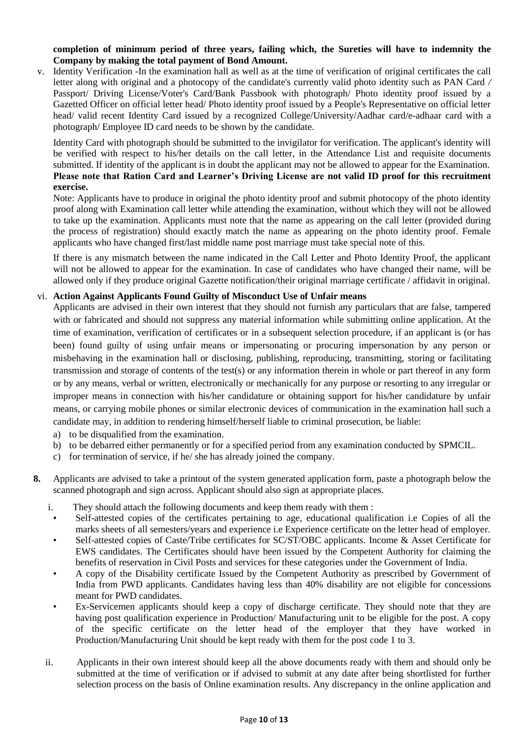**completion of minimum period of three years, failing which, the Sureties will have to indemnity the Company by making the total payment of Bond Amount.** 

v. Identity Verification -In the examination hall as well as at the time of verification of original certificates the call letter along with original and a photocopy of the candidate's currently valid photo identity such as PAN Card */* Passport/ Driving License/Voter's Card/Bank Passbook with photograph/ Photo identity proof issued by a Gazetted Officer on official letter head/ Photo identity proof issued by a People's Representative on official letter head/ valid recent Identity Card issued by a recognized College/University/Aadhar card/e-adhaar card with a photograph/ Employee ID card needs to be shown by the candidate.

Identity Card with photograph should be submitted to the invigilator for verification. The applicant's identity will be verified with respect to his/her details on the call letter, in the Attendance List and requisite documents submitted. If identity of the applicant is in doubt the applicant may not be allowed to appear for the Examination.

## **Please note that Ration Card and Learner's Driving License are not valid ID proof for this recruitment exercise.**

Note: Applicants have to produce in original the photo identity proof and submit photocopy of the photo identity proof along with Examination call letter while attending the examination, without which they will not be allowed to take up the examination. Applicants must note that the name as appearing on the call letter (provided during the process of registration) should exactly match the name as appearing on the photo identity proof. Female applicants who have changed first/last middle name post marriage must take special note of this.

If there is any mismatch between the name indicated in the Call Letter and Photo Identity Proof, the applicant will not be allowed to appear for the examination. In case of candidates who have changed their name, will be allowed only if they produce original Gazette notification/their original marriage certificate / affidavit in original.

### vi. **Action Against Applicants Found Guilty of Misconduct Use of Unfair means**

Applicants are advised in their own interest that they should not furnish any particulars that are false, tampered with or fabricated and should not suppress any material information while submitting online application. At the time of examination, verification of certificates or in a subsequent selection procedure, if an applicant is (or has been) found guilty of using unfair means or impersonating or procuring impersonation by any person or misbehaving in the examination hall or disclosing, publishing, reproducing, transmitting, storing or facilitating transmission and storage of contents of the test(s) or any information therein in whole or part thereof in any form or by any means, verbal or written, electronically or mechanically for any purpose or resorting to any irregular or improper means in connection with his/her candidature or obtaining support for his/her candidature by unfair means, or carrying mobile phones or similar electronic devices of communication in the examination hall such a candidate may, in addition to rendering himself/herself liable to criminal prosecution, be liable:

- a) to be disqualified from the examination.
- b) to be debarred either permanently or for a specified period from any examination conducted by SPMCIL.
- c) for termination of service, if he/ she has already joined the company.
- **8.** Applicants are advised to take a printout of the system generated application form, paste a photograph below the scanned photograph and sign across. Applicant should also sign at appropriate places.
	- i. They should attach the following documents and keep them ready with them :
	- Self-attested copies of the certificates pertaining to age, educational qualification i.e Copies of all the marks sheets of all semesters/years and experience i.e Experience certificate on the letter head of employer.
	- Self-attested copies of Caste/Tribe certificates for SC/ST/OBC applicants. Income & Asset Certificate for EWS candidates. The Certificates should have been issued by the Competent Authority for claiming the benefits of reservation in Civil Posts and services for these categories under the Government of India.
	- A copy of the Disability certificate Issued by the Competent Authority as prescribed by Government of India from PWD applicants. Candidates having less than 40% disability are not eligible for concessions meant for PWD candidates.
	- Ex-Servicemen applicants should keep a copy of discharge certificate. They should note that they are having post qualification experience in Production/ Manufacturing unit to be eligible for the post. A copy of the specific certificate on the letter head of the employer that they have worked in Production/Manufacturing Unit should be kept ready with them for the post code 1 to 3.
	- ii. Applicants in their own interest should keep all the above documents ready with them and should only be submitted at the time of verification or if advised to submit at any date after being shortlisted for further selection process on the basis of Online examination results. Any discrepancy in the online application and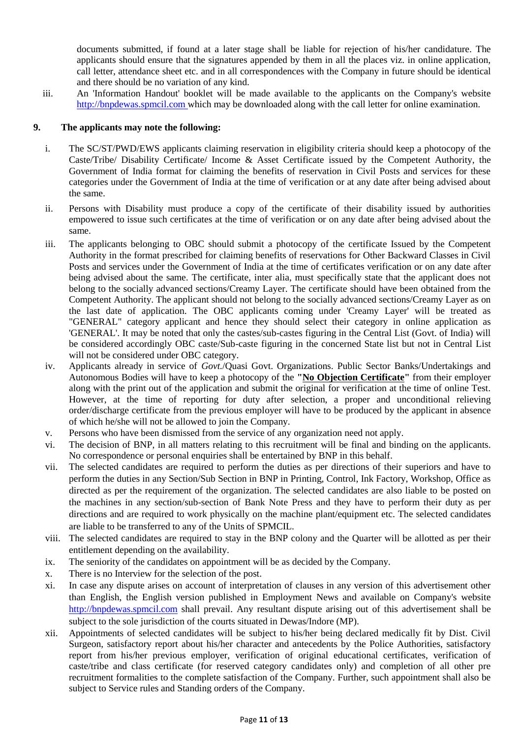documents submitted, if found at a later stage shall be liable for rejection of his/her candidature. The applicants should ensure that the signatures appended by them in all the places viz. in online application, call letter, attendance sheet etc. and in all correspondences with the Company in future should be identical and there should be no variation of any kind.

iii. An 'Information Handout' booklet will be made available to the applicants on the Company's website http://bnpdewas.spmcil.com which may be downloaded along with the call letter for online examination.

## **9. The applicants may note the following:**

- i. The SC/ST/PWD/EWS applicants claiming reservation in eligibility criteria should keep a photocopy of the Caste/Tribe/ Disability Certificate/ Income & Asset Certificate issued by the Competent Authority, the Government of India format for claiming the benefits of reservation in Civil Posts and services for these categories under the Government of India at the time of verification or at any date after being advised about the same.
- ii. Persons with Disability must produce a copy of the certificate of their disability issued by authorities empowered to issue such certificates at the time of verification or on any date after being advised about the same.
- iii. The applicants belonging to OBC should submit a photocopy of the certificate Issued by the Competent Authority in the format prescribed for claiming benefits of reservations for Other Backward Classes in Civil Posts and services under the Government of India at the time of certificates verification or on any date after being advised about the same. The certificate, inter alia, must specifically state that the applicant does not belong to the socially advanced sections/Creamy Layer. The certificate should have been obtained from the Competent Authority. The applicant should not belong to the socially advanced sections/Creamy Layer as on the last date of application. The OBC applicants coming under 'Creamy Layer' will be treated as "GENERAL" category applicant and hence they should select their category in online application as 'GENERAL'. It may be noted that only the castes/sub-castes figuring in the Central List (Govt. of India) will be considered accordingly OBC caste/Sub-caste figuring in the concerned State list but not in Central List will not be considered under OBC category.
- iv. Applicants already in service of *Govt.*/Quasi Govt. Organizations. Public Sector Banks/Undertakings and Autonomous Bodies will have to keep a photocopy of the **"No Objection Certificate"** from their employer along with the print out of the application and submit the original for verification at the time of online Test. However, at the time of reporting for duty after selection, a proper and unconditional relieving order/discharge certificate from the previous employer will have to be produced by the applicant in absence of which he/she will not be allowed to join the Company.
- v. Persons who have been dismissed from the service of any organization need not apply.
- vi. The decision of BNP, in all matters relating to this recruitment will be final and binding on the applicants. No correspondence or personal enquiries shall be entertained by BNP in this behalf.
- vii. The selected candidates are required to perform the duties as per directions of their superiors and have to perform the duties in any Section/Sub Section in BNP in Printing, Control, Ink Factory, Workshop, Office as directed as per the requirement of the organization. The selected candidates are also liable to be posted on the machines in any section/sub-section of Bank Note Press and they have to perform their duty as per directions and are required to work physically on the machine plant/equipment etc. The selected candidates are liable to be transferred to any of the Units of SPMCIL.
- viii. The selected candidates are required to stay in the BNP colony and the Quarter will be allotted as per their entitlement depending on the availability.
- ix. The seniority of the candidates on appointment will be as decided by the Company.
- x. There is no Interview for the selection of the post.
- xi. In case any dispute arises on account of interpretation of clauses in any version of this advertisement other than English, the English version published in Employment News and available on Company's website http://bnpdewas.spmcil.com shall prevail. Any resultant dispute arising out of this advertisement shall be subject to the sole jurisdiction of the courts situated in Dewas/Indore (MP).
- xii. Appointments of selected candidates will be subject to his/her being declared medically fit by Dist. Civil Surgeon, satisfactory report about his/her character and antecedents by the Police Authorities, satisfactory report from his/her previous employer, verification of original educational certificates, verification of caste/tribe and class certificate (for reserved category candidates only) and completion of all other pre recruitment formalities to the complete satisfaction of the Company. Further, such appointment shall also be subject to Service rules and Standing orders of the Company.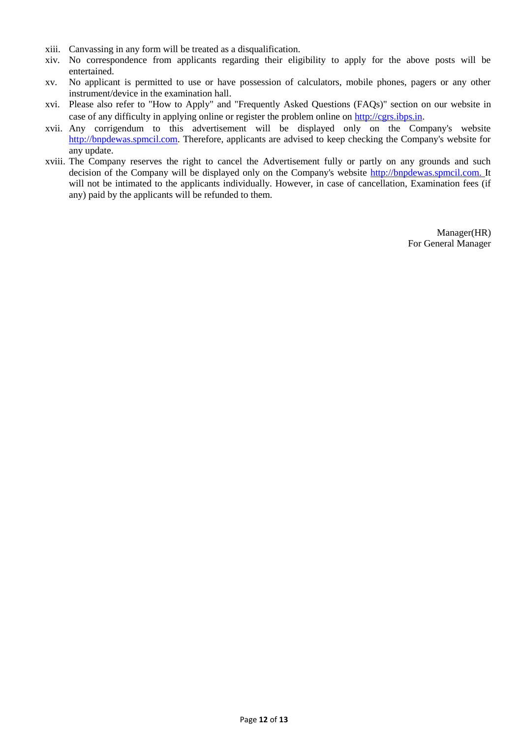- xiii. Canvassing in any form will be treated as a disqualification.
- xiv. No correspondence from applicants regarding their eligibility to apply for the above posts will be entertained.
- xv. No applicant is permitted to use or have possession of calculators, mobile phones, pagers or any other instrument/device in the examination hall.
- xvi. Please also refer to "How to Apply" and "Frequently Asked Questions (FAQs)" section on our website in case of any difficulty in applying online or register the problem online on [http://cgrs.ibps.in.](http://cgrs.ibps.in/)
- xvii. Any corrigendum to this advertisement will be displayed only on the Company's website [http://bnpdewas.spmcil.com.](http://bnpdewas.spmcil.com/) Therefore, applicants are advised to keep checking the Company's website for any update.
- xviii. The Company reserves the right to cancel the Advertisement fully or partly on any grounds and such decision of the Company will be displayed only on the Company's website http://bnpdewas.spmcil.com. It will not be intimated to the applicants individually. However, in case of cancellation, Examination fees (if any) paid by the applicants will be refunded to them.

Manager(HR) For General Manager